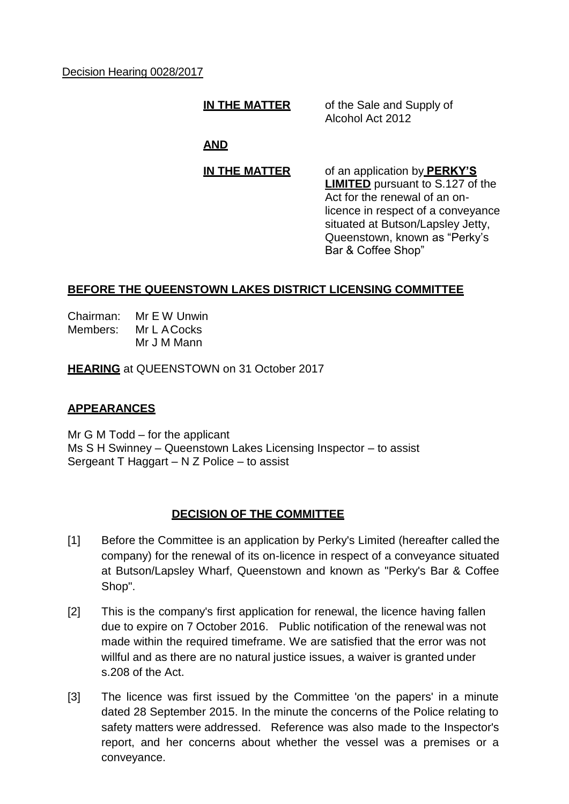Decision Hearing 0028/2017

**IN THE MATTER** of the Sale and Supply of Alcohol Act 2012

# **AND**

**IN THE MATTER** of an application by **PERKY'S LIMITED** pursuant to S.127 of the Act for the renewal of an onlicence in respect of a conveyance situated at Butson/Lapsley Jetty, Queenstown, known as "Perky's Bar & Coffee Shop"

## **BEFORE THE QUEENSTOWN LAKES DISTRICT LICENSING COMMITTEE**

Chairman: Mr E W Unwin Members: Mr L ACocks Mr J M Mann

**HEARING** at QUEENSTOWN on 31 October 2017

### **APPEARANCES**

Mr G M Todd – for the applicant Ms S H Swinney – Queenstown Lakes Licensing Inspector – to assist Sergeant T Haggart – N Z Police – to assist

### **DECISION OF THE COMMITTEE**

- [1] Before the Committee is an application by Perky's Limited (hereafter called the company) for the renewal of its on-licence in respect of a conveyance situated at Butson/Lapsley Wharf, Queenstown and known as "Perky's Bar & Coffee Shop".
- [2] This is the company's first application for renewal, the licence having fallen due to expire on 7 October 2016. Public notification of the renewal was not made within the required timeframe. We are satisfied that the error was not willful and as there are no natural justice issues, a waiver is granted under s.208 of the Act.
- [3] The licence was first issued by the Committee 'on the papers' in a minute dated 28 September 2015. In the minute the concerns of the Police relating to safety matters were addressed. Reference was also made to the Inspector's report, and her concerns about whether the vessel was a premises or a conveyance.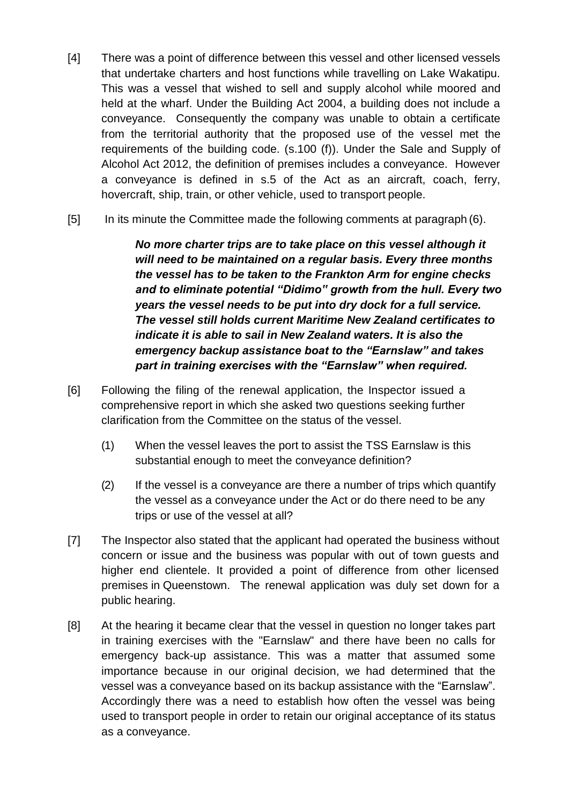- [4] There was a point of difference between this vessel and other licensed vessels that undertake charters and host functions while travelling on Lake Wakatipu. This was a vessel that wished to sell and supply alcohol while moored and held at the wharf. Under the Building Act 2004, a building does not include a conveyance. Consequently the company was unable to obtain a certificate from the territorial authority that the proposed use of the vessel met the requirements of the building code. (s.100 (f)). Under the Sale and Supply of Alcohol Act 2012, the definition of premises includes a conveyance. However a conveyance is defined in s.5 of the Act as an aircraft, coach, ferry, hovercraft, ship, train, or other vehicle, used to transport people.
- [5] In its minute the Committee made the following comments at paragraph (6).

*No more charter trips are to take place on this vessel although it will need to be maintained on a regular basis. Every three months the vessel has to be taken to the Frankton Arm for engine checks and to eliminate potential "Didimo" growth from the hull. Every two years the vessel needs to be put into dry dock for a full service. The vessel still holds current Maritime New Zealand certificates to indicate it is able to sail in New Zealand waters. It is also the emergency backup assistance boat to the "Earnslaw" and takes part in training exercises with the "Earnslaw" when required.*

- [6] Following the filing of the renewal application, the Inspector issued a comprehensive report in which she asked two questions seeking further clarification from the Committee on the status of the vessel.
	- (1) When the vessel leaves the port to assist the TSS Earnslaw is this substantial enough to meet the conveyance definition?
	- (2) If the vessel is a conveyance are there a number of trips which quantify the vessel as a conveyance under the Act or do there need to be any trips or use of the vessel at all?
- [7] The Inspector also stated that the applicant had operated the business without concern or issue and the business was popular with out of town guests and higher end clientele. It provided a point of difference from other licensed premises in Queenstown. The renewal application was duly set down for a public hearing.
- [8] At the hearing it became clear that the vessel in question no longer takes part in training exercises with the "Earnslaw" and there have been no calls for emergency back-up assistance. This was a matter that assumed some importance because in our original decision, we had determined that the vessel was a conveyance based on its backup assistance with the "Earnslaw". Accordingly there was a need to establish how often the vessel was being used to transport people in order to retain our original acceptance of its status as a conveyance.